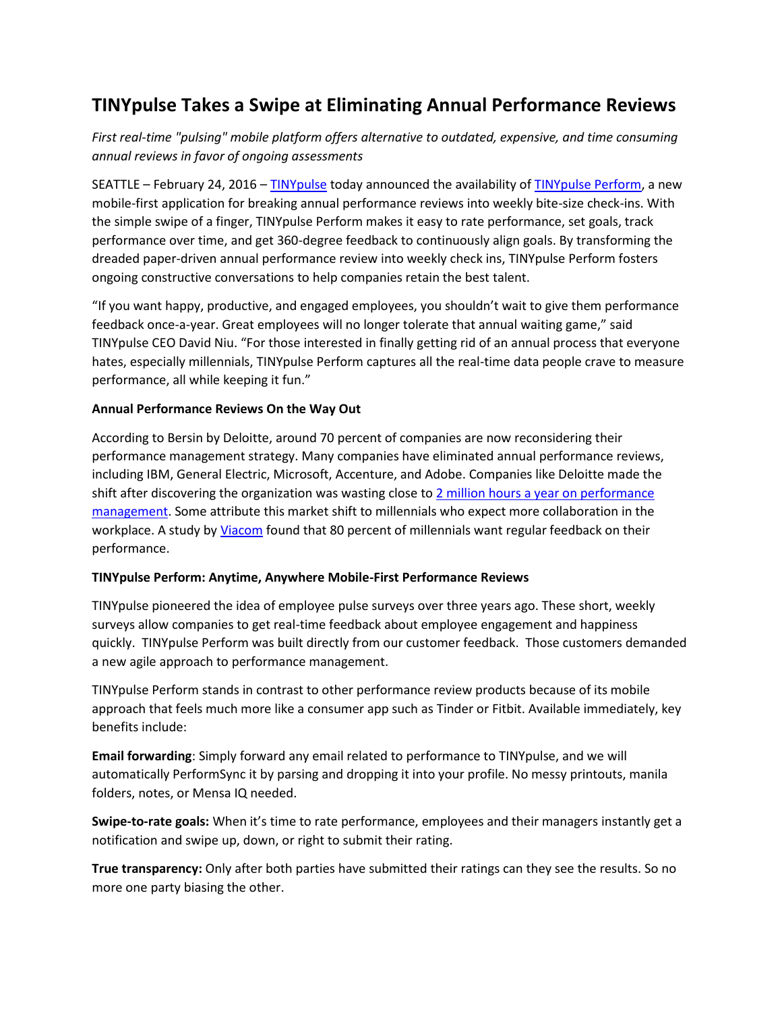# **TINYpulse Takes a Swipe at Eliminating Annual Performance Reviews**

*First real-time "pulsing" mobile platform offers alternative to outdated, expensive, and time consuming annual reviews in favor of ongoing assessments*

SEATTLE – February 24, 2016 – [TINYpulse](http://www.tinypulse.com/) today announced the availability o[f TINYpulse Perform,](http://www.tinypulse.com/perform) a new mobile-first application for breaking annual performance reviews into weekly bite-size check-ins. With the simple swipe of a finger, TINYpulse Perform makes it easy to rate performance, set goals, track performance over time, and get 360-degree feedback to continuously align goals. By transforming the dreaded paper-driven annual performance review into weekly check ins, TINYpulse Perform fosters ongoing constructive conversations to help companies retain the best talent.

"If you want happy, productive, and engaged employees, you shouldn't wait to give them performance feedback once-a-year. Great employees will no longer tolerate that annual waiting game," said TINYpulse CEO David Niu. "For those interested in finally getting rid of an annual process that everyone hates, especially millennials, TINYpulse Perform captures all the real-time data people crave to measure performance, all while keeping it fun."

## **Annual Performance Reviews On the Way Out**

According to Bersin by Deloitte, around 70 percent of companies are now reconsidering their performance management strategy. Many companies have eliminated annual performance reviews, including IBM, General Electric, Microsoft, Accenture, and Adobe. Companies like Deloitte made the shift after discovering the organization was wasting close to 2 million hours a year on performance [management.](https://hbr.org/2015/04/reinventing-performance-management) Some attribute this market shift to millennials who expect more collaboration in the workplace. A study b[y Viacom](http://blog.viacom.com/2012/10/consumer-insights-mtvs-no-collar-workers/) found that 80 percent of millennials want regular feedback on their performance.

#### **TINYpulse Perform: Anytime, Anywhere Mobile-First Performance Reviews**

TINYpulse pioneered the idea of employee pulse surveys over three years ago. These short, weekly surveys allow companies to get real-time feedback about employee engagement and happiness quickly. TINYpulse Perform was built directly from our customer feedback. Those customers demanded a new agile approach to performance management.

TINYpulse Perform stands in contrast to other performance review products because of its mobile approach that feels much more like a consumer app such as Tinder or Fitbit. Available immediately, key benefits include:

**Email forwarding**: Simply forward any email related to performance to TINYpulse, and we will automatically PerformSync it by parsing and dropping it into your profile. No messy printouts, manila folders, notes, or Mensa IQ needed.

**Swipe-to-rate goals:** When it's time to rate performance, employees and their managers instantly get a notification and swipe up, down, or right to submit their rating.

**True transparency:** Only after both parties have submitted their ratings can they see the results. So no more one party biasing the other.